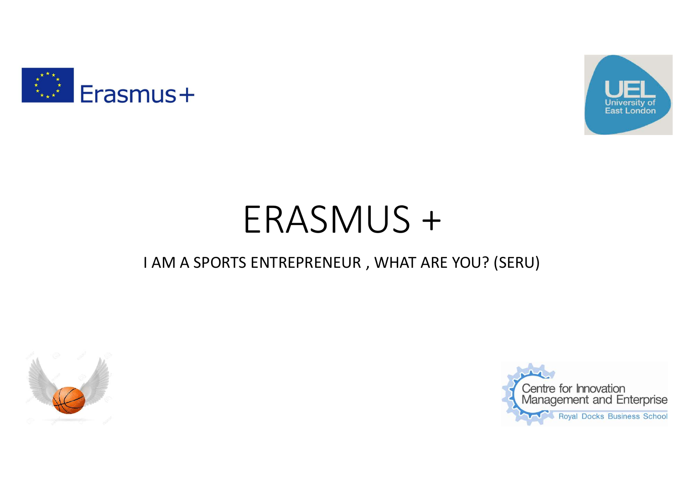



# ERASMUS +

#### I AM A SPORTS ENTREPRENEUR , WHAT ARE YOU? (SERU)



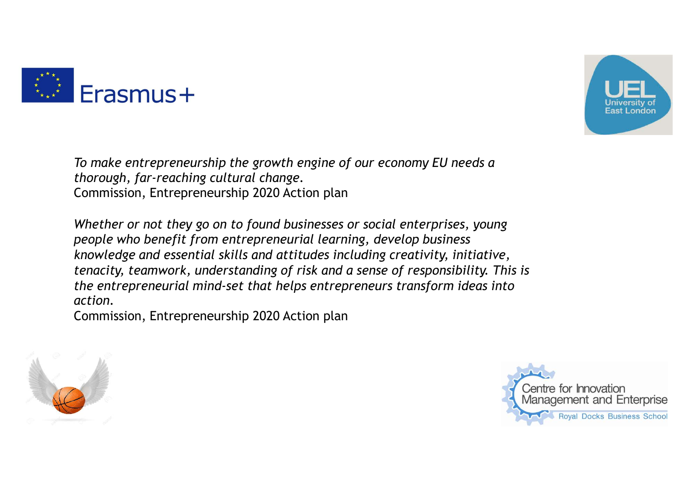



To make entrepreneurship the growth engine of our economy EU needs a thorough, far-reaching cultural change. Commission, Entrepreneurship 2020 Action plan

Whether or not they go on to found businesses or social enterprises, young people who benefit from entrepreneurial learning, develop business knowledge and essential skills and attitudes including creativity, initiative, tenacity, teamwork, understanding of risk and a sense of responsibility. This is the entrepreneurial mind-set that helps entrepreneurs transform ideas into action.

Commission, Entrepreneurship 2020 Action plan



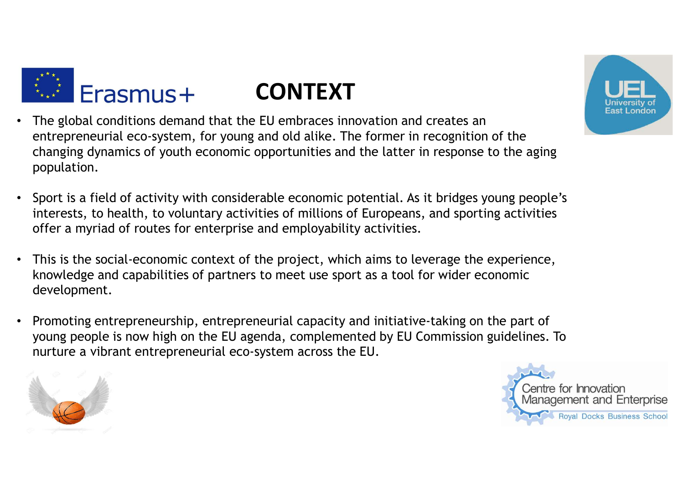

## CONTEXT



- The global conditions demand that the EU embraces innovation and creates an entrepreneurial eco-system, for young and old alike. The former in recognition of the changing dynamics of youth economic opportunities and the latter in response to the aging population.
- Sport is a field of activity with considerable economic potential. As it bridges young people's interests, to health, to voluntary activities of millions of Europeans, and sporting activities offer a myriad of routes for enterprise and employability activities.
- This is the social-economic context of the project, which aims to leverage the experience, knowledge and capabilities of partners to meet use sport as a tool for wider economic development.
- Promoting entrepreneurship, entrepreneurial capacity and initiative-taking on the part of young people is now high on the EU agenda, complemented by EU Commission guidelines. To nurture a vibrant entrepreneurial eco-system across the EU.



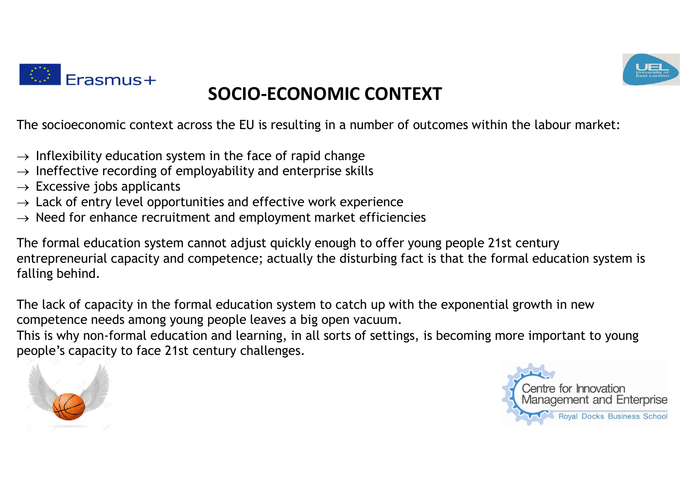

### SOCIO-ECONOMIC CONTEXT

The socioeconomic context across the EU is resulting in a number of outcomes within the labour market:<br>  $\rightarrow$  Inflexibility education system in the face of rapid change<br>  $\rightarrow$  Ineffective recording of employability and ente

- $\rightarrow$  Inflexibility education system in the face of rapid change
- $\rightarrow$  Ineffective recording of employability and enterprise skills
- $\rightarrow$  Excessive jobs applicants
- $\rightarrow$  Lack of entry level opportunities and effective work experience
- $\rightarrow$  Need for enhance recruitment and employment market efficiencies

The socioeconomic context across the EU is resulting in a number of outcomes within the labour market:<br>  $\rightarrow$  Inflexibility education system in the face of rapid change<br>  $\rightarrow$  Ineffective recording of employability and ente entrepreneurial capacity and competence; actually the disturbing fact is that the formal education system is falling behind.

The lack of capacity in the formal education system to catch up with the exponential growth in new competence needs among young people leaves a big open vacuum.

This is why non-formal education and learning, in all sorts of settings, is becoming more important to young people's capacity to face 21st century challenges.





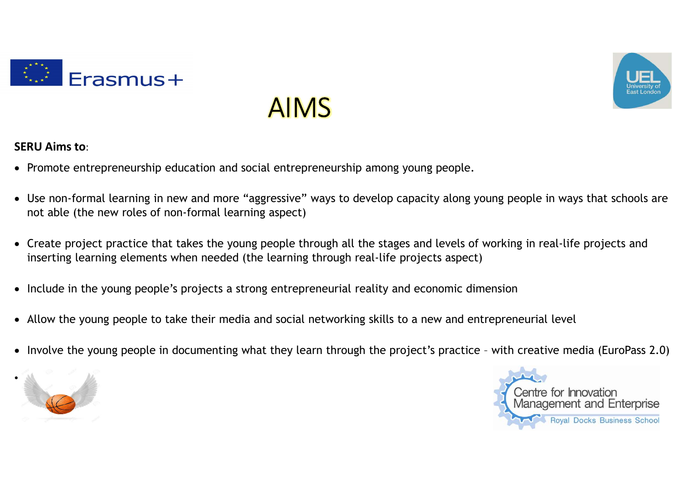

# AIMS



- Promote entrepreneurship education and social entrepreneurship among young people.
- Use non-formal learning in new and more "aggressive" ways to develop capacity along young people in ways that schools are not able (the new roles of non-formal learning aspect) SERU Aims to:<br>
• Promote entrepreneurship education and social entrepreneurship among young people.<br>
• Use non-formal learning in new and more "aggressive" ways to develop capacity along young people in ways that schools a
- Create project practice that takes the young people through all the stages and levels of working in real-life projects and inserting learning elements when needed (the learning through real-life projects aspect)
- Include in the young people's projects a strong entrepreneurial reality and economic dimension
- Allow the young people to take their media and social networking skills to a new and entrepreneurial level
- 





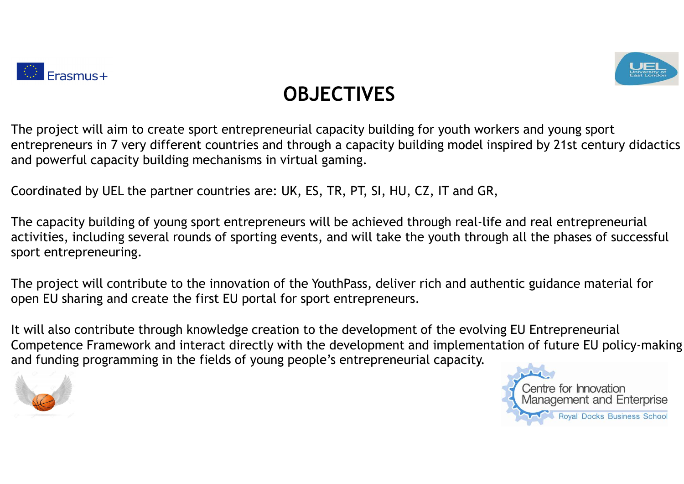



### **OBJECTIVES**

The project will aim to create sport entrepreneurial capacity building for youth workers and young sport entrepreneurs in 7 very different countries and through a capacity building model inspired by 21st century didactics and powerful capacity building mechanisms in virtual gaming.

Coordinated by UEL the partner countries are: UK, ES, TR, PT, SI, HU, CZ, IT and GR,

The capacity building of young sport entrepreneurs will be achieved through real-life and real entrepreneurial activities, including several rounds of sporting events, and will take the youth through all the phases of successful sport entrepreneuring.

The project will contribute to the innovation of the YouthPass, deliver rich and authentic guidance material for open EU sharing and create the first EU portal for sport entrepreneurs.

It will also contribute through knowledge creation to the development of the evolving EU Entrepreneurial Competence Framework and interact directly with the development and implementation of future EU policy-making and funding programming in the fields of young people's entrepreneurial capacity.



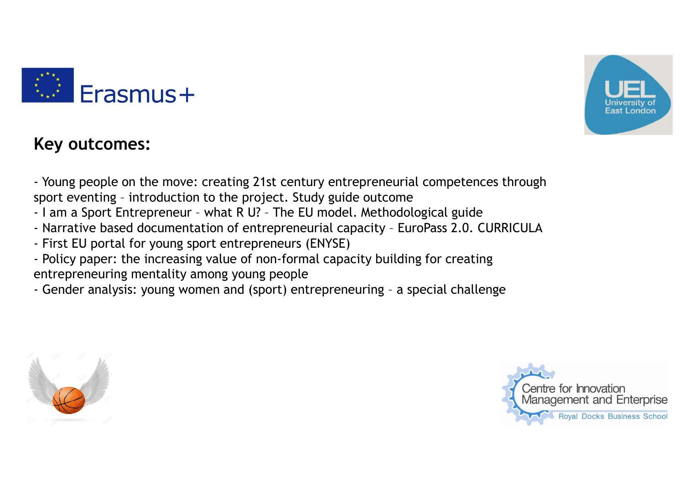



#### Key outcomes:

-<br>- Young people on the move: creating 21st century entrepreneurial competences through<br>sport eventing - introduction to the project. Study guide outcome<br>- I am a Sport Entrepreneur - what R U? - The EU model. Methodologic **Sport Example 20**<br>Sport eventing – introduction to the project. Study guide outcome<br>Professort eventing – introduction to the project. Study guide outcome<br>- I am a Sport Entrepreneur - what R U? - The EU model. Methodolog **ETASMUS +**<br> **ETASMUS +**<br> **ETASMUS +**<br> **ETASMUS +**<br> **ETASMUS +**<br> **ETASMUS +**<br> **ETASMUS +**<br> **ETASMUS +**<br> **ETASMUS +**<br> **ETASMUS +**<br> **ETASMUS +**<br> **ETASPE AND A Sport Entrepreneur – what R U? – The EU model. Methodological gu** - Narrative based documentation of entrepreneurial competences through<br>
- Young people on the move: creating 21st century entrepreneurial competences through<br>
part eventuring - introduction to the project. Study guide outc - First EU portal for the move: creating 21st century entrepreneurial comport eventing - introduction to the project. Study guide outcome<br>
Figure 1 am a Sport Entrepreneur - what R U? - The EU model. Methodologica<br>
- Narra - Policy **Francises:**<br>- Young people on the move: creating 21st century entrepreneurial competences through<br>sport eventing - introduction to the project. Study guide outcome<br>- l am a Sport Entrepreneur - what R U? - The EU entrepreneuring mentality among young people<br>
Franching amove the move of the project. Study guide outcome<br>
sport eventing - introduction to the project. Study guide outcome<br>
- I am a Sport Entrepreneur - what R U? - The E ETAL STRIMUS FOR UNITY CONDUCTED THE SURVEY OF CHARGE AND USE THE SURVEY OF THE SURVEY CHARGE AND SEVERAL CHARGE AND THE SURVEY CHARGE AND THAT A Sport entrepreneuring introduction of entrepreneurial capacity - EuroPass 2.

- 
- 
- 
- 
-